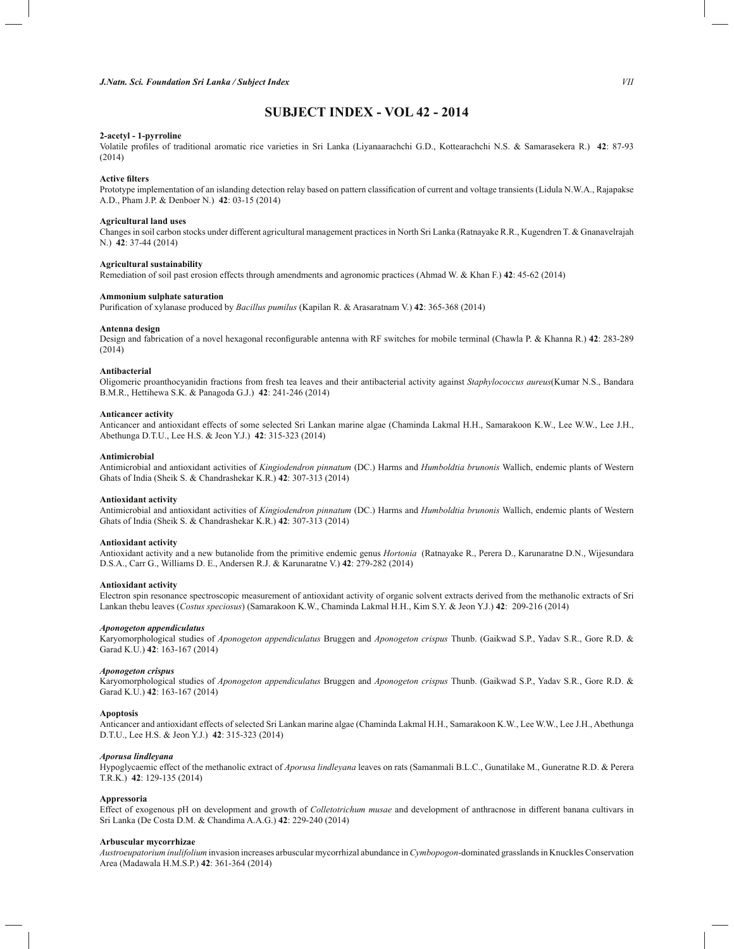# **SUBJECT INDEX - VOL 42 - 2014**

# **2-acetyl - 1-pyrroline**

Volatile profiles of traditional aromatic rice varieties in Sri Lanka (Liyanaarachchi G.D., Kottearachchi N.S. & Samarasekera R.) **42**: 87-93 (2014)

### **Active filters**

Prototype implementation of an islanding detection relay based on pattern classification of current and voltage transients (Lidula N.W.A., Rajapakse A.D., Pham J.P. & Denboer N.) **42**: 03-15 (2014)

## **Agricultural land uses**

Changes in soil carbon stocks under different agricultural management practices in North Sri Lanka (Ratnayake R.R., Kugendren T. & Gnanavelrajah N.) **42**: 37-44 (2014)

## **Agricultural sustainability**

Remediation of soil past erosion effects through amendments and agronomic practices (Ahmad W. & Khan F.) **42**: 45-62 (2014)

## **Ammonium sulphate saturation**

Purification of xylanase produced by *Bacillus pumilus* (Kapilan R. & Arasaratnam V.) **42**: 365-368 (2014)

## **Antenna design**

Design and fabrication of a novel hexagonal reconfigurable antenna with RF switches for mobile terminal (Chawla P. & Khanna R.) **42**: 283-289 (2014)

## **Antibacterial**

Oligomeric proanthocyanidin fractions from fresh tea leaves and their antibacterial activity against *Staphylococcus aureus*(Kumar N.S., Bandara B.M.R., Hettihewa S.K. & Panagoda G.J.) **42**: 241-246 (2014)

## **Anticancer activity**

Anticancer and antioxidant effects of some selected Sri Lankan marine algae (Chaminda Lakmal H.H., Samarakoon K.W., Lee W.W., Lee J.H., Abethunga D.T.U., Lee H.S. & Jeon Y.J.) **42**: 315-323 (2014)

#### **Antimicrobial**

Antimicrobial and antioxidant activities of *Kingiodendron pinnatum* (DC.) Harms and *Humboldtia brunonis* Wallich, endemic plants of Western Ghats of India (Sheik S. & Chandrashekar K.R.) **42**: 307-313 (2014)

# **Antioxidant activity**

Antimicrobial and antioxidant activities of *Kingiodendron pinnatum* (DC.) Harms and *Humboldtia brunonis* Wallich, endemic plants of Western Ghats of India (Sheik S. & Chandrashekar K.R.) **42**: 307-313 (2014)

## **Antioxidant activity**

Antioxidant activity and a new butanolide from the primitive endemic genus *Hortonia* (Ratnayake R., Perera D., Karunaratne D.N., Wijesundara D.S.A., Carr G., Williams D. E., Andersen R.J. & Karunaratne V.) **42**: 279-282 (2014)

## **Antioxidant activity**

Electron spin resonance spectroscopic measurement of antioxidant activity of organic solvent extracts derived from the methanolic extracts of Sri Lankan thebu leaves (*Costus speciosus*) (Samarakoon K.W., Chaminda Lakmal H.H., Kim S.Y. & Jeon Y.J.) **42**: 209-216 (2014)

### *Aponogeton appendiculatus*

Karyomorphological studies of *Aponogeton appendiculatus* Bruggen and *Aponogeton crispus* Thunb. (Gaikwad S.P., Yadav S.R., Gore R.D. & Garad K.U.) **42**: 163-167 (2014)

# *Aponogeton crispus*

Karyomorphological studies of *Aponogeton appendiculatus* Bruggen and *Aponogeton crispus* Thunb. (Gaikwad S.P., Yadav S.R., Gore R.D. & Garad K.U.) **42**: 163-167 (2014)

#### **Apoptosis**

Anticancer and antioxidant effects of selected Sri Lankan marine algae (Chaminda Lakmal H.H., Samarakoon K.W., Lee W.W., Lee J.H., Abethunga D.T.U., Lee H.S. & Jeon Y.J.) **42**: 315-323 (2014)

## *Aporusa lindleyana*

Hypoglycaemic effect of the methanolic extract of *Aporusa lindleyana* leaves on rats (Samanmali B.L.C., Gunatilake M., Guneratne R.D. & Perera T.R.K.) **42**: 129-135 (2014)

#### **Appressoria**

Effect of exogenous pH on development and growth of *Colletotrichum musae* and development of anthracnose in different banana cultivars in Sri Lanka (De Costa D.M. & Chandima A.A.G.) **42**: 229-240 (2014)

## **Arbuscular mycorrhizae**

*Austroeupatorium inulifolium* invasion increases arbuscular mycorrhizal abundance in *Cymbopogon*-dominated grasslands in Knuckles Conservation Area (Madawala H.M.S.P.) **42**: 361-364 (2014)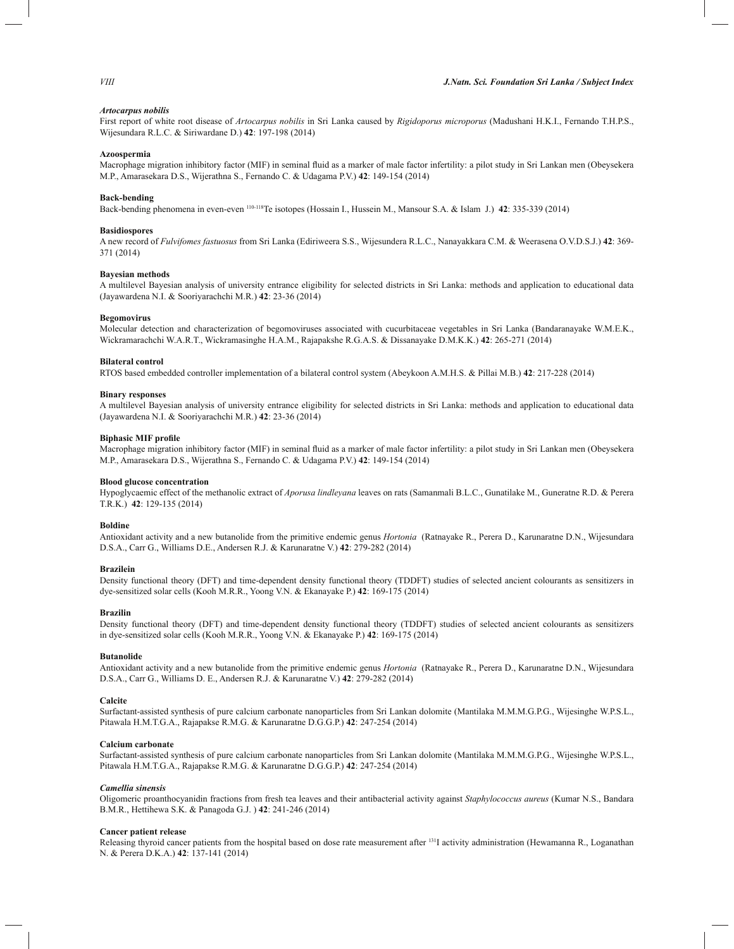## *Artocarpus nobilis*

First report of white root disease of *Artocarpus nobilis* in Sri Lanka caused by *Rigidoporus microporus* (Madushani H.K.I., Fernando T.H.P.S., Wijesundara R.L.C. & Siriwardane D.) **42**: 197-198 (2014)

#### **Azoospermia**

Macrophage migration inhibitory factor (MIF) in seminal fluid as a marker of male factor infertility: a pilot study in Sri Lankan men (Obeysekera M.P., Amarasekara D.S., Wijerathna S., Fernando C. & Udagama P.V.) **42**: 149-154 (2014)

## **Back-bending**

Back-bending phenomena in even-even 110-118Te isotopes (Hossain I., Hussein M., Mansour S.A. & Islam J.) **42**: 335-339 (2014)

### **Basidiospores**

A new record of *Fulvifomes fastuosus* from Sri Lanka (Ediriweera S.S., Wijesundera R.L.C., Nanayakkara C.M. & Weerasena O.V.D.S.J.) **42**: 369- 371 (2014)

## **Bayesian methods**

A multilevel Bayesian analysis of university entrance eligibility for selected districts in Sri Lanka: methods and application to educational data (Jayawardena N.I. & Sooriyarachchi M.R.) **42**: 23-36 (2014)

## **Begomovirus**

Molecular detection and characterization of begomoviruses associated with cucurbitaceae vegetables in Sri Lanka (Bandaranayake W.M.E.K., Wickramarachchi W.A.R.T., Wickramasinghe H.A.M., Rajapakshe R.G.A.S. & Dissanayake D.M.K.K.) **42**: 265-271 (2014)

## **Bilateral control**

RTOS based embedded controller implementation of a bilateral control system (Abeykoon A.M.H.S. & Pillai M.B.) **42**: 217-228 (2014)

## **Binary responses**

A multilevel Bayesian analysis of university entrance eligibility for selected districts in Sri Lanka: methods and application to educational data (Jayawardena N.I. & Sooriyarachchi M.R.) **42**: 23-36 (2014)

#### **Biphasic MIF profile**

Macrophage migration inhibitory factor (MIF) in seminal fluid as a marker of male factor infertility: a pilot study in Sri Lankan men (Obeysekera M.P., Amarasekara D.S., Wijerathna S., Fernando C. & Udagama P.V.) **42**: 149-154 (2014)

#### **Blood glucose concentration**

Hypoglycaemic effect of the methanolic extract of *Aporusa lindleyana* leaves on rats (Samanmali B.L.C., Gunatilake M., Guneratne R.D. & Perera T.R.K.) **42**: 129-135 (2014)

### **Boldine**

Antioxidant activity and a new butanolide from the primitive endemic genus *Hortonia* (Ratnayake R., Perera D., Karunaratne D.N., Wijesundara D.S.A., Carr G., Williams D.E., Andersen R.J. & Karunaratne V.) **42**: 279-282 (2014)

## **Brazilein**

Density functional theory (DFT) and time-dependent density functional theory (TDDFT) studies of selected ancient colourants as sensitizers in dye-sensitized solar cells (Kooh M.R.R., Yoong V.N. & Ekanayake P.) **42**: 169-175 (2014)

## **Brazilin**

Density functional theory (DFT) and time-dependent density functional theory (TDDFT) studies of selected ancient colourants as sensitizers in dye-sensitized solar cells (Kooh M.R.R., Yoong V.N. & Ekanayake P.) **42**: 169-175 (2014)

## **Butanolide**

Antioxidant activity and a new butanolide from the primitive endemic genus *Hortonia* (Ratnayake R., Perera D., Karunaratne D.N., Wijesundara D.S.A., Carr G., Williams D. E., Andersen R.J. & Karunaratne V.) **42**: 279-282 (2014)

#### **Calcite**

Surfactant-assisted synthesis of pure calcium carbonate nanoparticles from Sri Lankan dolomite (Mantilaka M.M.M.G.P.G., Wijesinghe W.P.S.L., Pitawala H.M.T.G.A., Rajapakse R.M.G. & Karunaratne D.G.G.P.) **42**: 247-254 (2014)

## **Calcium carbonate**

Surfactant-assisted synthesis of pure calcium carbonate nanoparticles from Sri Lankan dolomite (Mantilaka M.M.M.G.P.G., Wijesinghe W.P.S.L., Pitawala H.M.T.G.A., Rajapakse R.M.G. & Karunaratne D.G.G.P.) **42**: 247-254 (2014)

## *Camellia sinensis*

Oligomeric proanthocyanidin fractions from fresh tea leaves and their antibacterial activity against *Staphylococcus aureus* (Kumar N.S., Bandara B.M.R., Hettihewa S.K. & Panagoda G.J. ) **42**: 241-246 (2014)

## **Cancer patient release**

Releasing thyroid cancer patients from the hospital based on dose rate measurement after <sup>131</sup>I activity administration (Hewamanna R., Loganathan N. & Perera D.K.A.) **42**: 137-141 (2014)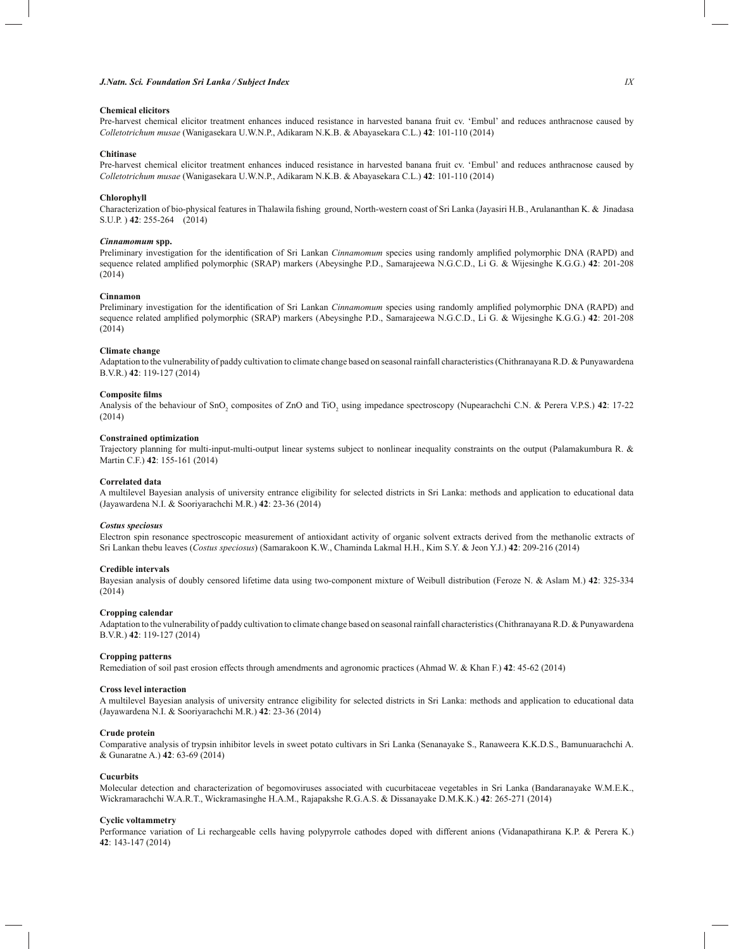## *J.Natn. Sci. Foundation Sri Lanka / Subject Index IX*

# **Chemical elicitors**

Pre-harvest chemical elicitor treatment enhances induced resistance in harvested banana fruit cv. 'Embul' and reduces anthracnose caused by *Colletotrichum musae* (Wanigasekara U.W.N.P., Adikaram N.K.B. & Abayasekara C.L.) **42**: 101-110 (2014)

## **Chitinase**

Pre-harvest chemical elicitor treatment enhances induced resistance in harvested banana fruit cv. 'Embul' and reduces anthracnose caused by *Colletotrichum musae* (Wanigasekara U.W.N.P., Adikaram N.K.B. & Abayasekara C.L.) **42**: 101-110 (2014)

## **Chlorophyll**

Characterization of bio-physical features in Thalawila fishing ground, North-western coast of Sri Lanka (Jayasiri H.B., Arulananthan K. & Jinadasa S.U.P. ) **42**: 255-264 (2014)

## *Cinnamomum* **spp.**

Preliminary investigation for the identification of Sri Lankan *Cinnamomum* species using randomly amplified polymorphic DNA (RAPD) and sequence related amplified polymorphic (SRAP) markers (Abeysinghe P.D., Samarajeewa N.G.C.D., Li G. & Wijesinghe K.G.G.) **42**: 201-208 (2014)

## **Cinnamon**

Preliminary investigation for the identification of Sri Lankan *Cinnamomum* species using randomly amplified polymorphic DNA (RAPD) and sequence related amplified polymorphic (SRAP) markers (Abeysinghe P.D., Samarajeewa N.G.C.D., Li G. & Wijesinghe K.G.G.) **42**: 201-208 (2014)

## **Climate change**

Adaptation to the vulnerability of paddy cultivation to climate change based on seasonal rainfall characteristics (Chithranayana R.D. & Punyawardena B.V.R.) **42**: 119-127 (2014)

## **Composite films**

Analysis of the behaviour of SnO<sub>2</sub> composites of ZnO and TiO<sub>2</sub> using impedance spectroscopy (Nupearachchi C.N. & Perera V.P.S.) **42**: 17-22 (2014)

## **Constrained optimization**

Trajectory planning for multi-input-multi-output linear systems subject to nonlinear inequality constraints on the output (Palamakumbura R. & Martin C.F.) **42**: 155-161 (2014)

#### **Correlated data**

A multilevel Bayesian analysis of university entrance eligibility for selected districts in Sri Lanka: methods and application to educational data (Jayawardena N.I. & Sooriyarachchi M.R.) **42**: 23-36 (2014)

## *Costus speciosus*

Electron spin resonance spectroscopic measurement of antioxidant activity of organic solvent extracts derived from the methanolic extracts of Sri Lankan thebu leaves (*Costus speciosus*) (Samarakoon K.W., Chaminda Lakmal H.H., Kim S.Y. & Jeon Y.J.) **42**: 209-216 (2014)

### **Credible intervals**

Bayesian analysis of doubly censored lifetime data using two-component mixture of Weibull distribution (Feroze N. & Aslam M.) **42**: 325-334 (2014)

## **Cropping calendar**

Adaptation to the vulnerability of paddy cultivation to climate change based on seasonal rainfall characteristics (Chithranayana R.D. & Punyawardena B.V.R.) **42**: 119-127 (2014)

## **Cropping patterns**

Remediation of soil past erosion effects through amendments and agronomic practices (Ahmad W. & Khan F.) **42**: 45-62 (2014)

# **Cross level interaction**

A multilevel Bayesian analysis of university entrance eligibility for selected districts in Sri Lanka: methods and application to educational data (Jayawardena N.I. & Sooriyarachchi M.R.) **42**: 23-36 (2014)

#### **Crude protein**

Comparative analysis of trypsin inhibitor levels in sweet potato cultivars in Sri Lanka (Senanayake S., Ranaweera K.K.D.S., Bamunuarachchi A. & Gunaratne A.) **42**: 63-69 (2014)

### **Cucurbits**

Molecular detection and characterization of begomoviruses associated with cucurbitaceae vegetables in Sri Lanka (Bandaranayake W.M.E.K., Wickramarachchi W.A.R.T., Wickramasinghe H.A.M., Rajapakshe R.G.A.S. & Dissanayake D.M.K.K.) **42**: 265-271 (2014)

## **Cyclic voltammetry**

Performance variation of Li rechargeable cells having polypyrrole cathodes doped with different anions (Vidanapathirana K.P. & Perera K.) **42**: 143-147 (2014)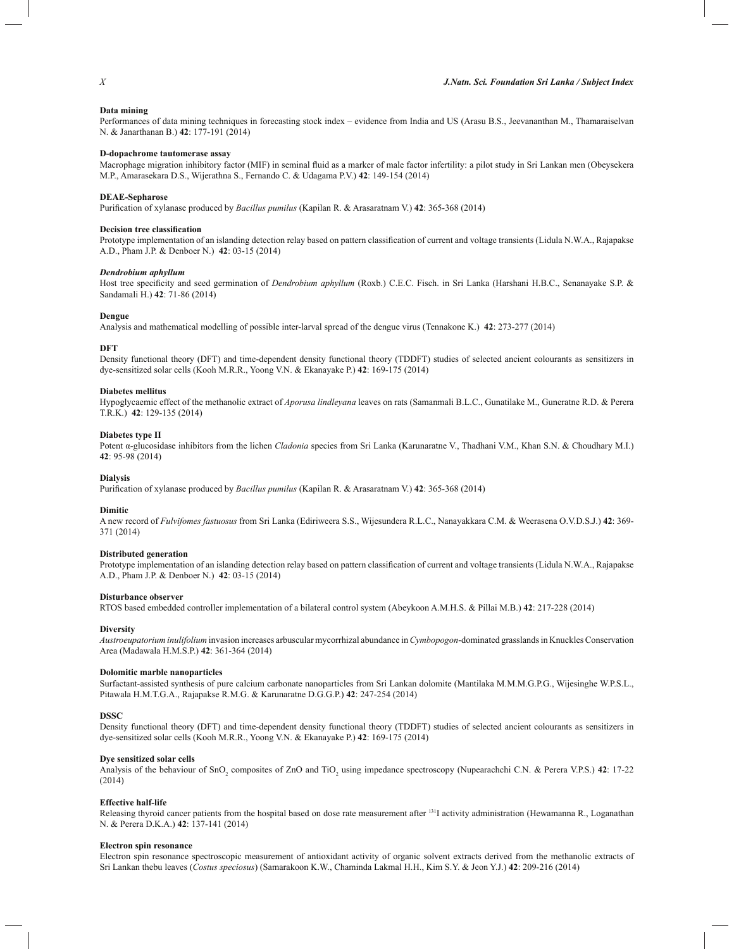# **Data mining**

Performances of data mining techniques in forecasting stock index – evidence from India and US (Arasu B.S., Jeevananthan M., Thamaraiselvan N. & Janarthanan B.) **42**: 177-191 (2014)

# **D-dopachrome tautomerase assay**

Macrophage migration inhibitory factor (MIF) in seminal fluid as a marker of male factor infertility: a pilot study in Sri Lankan men (Obeysekera M.P., Amarasekara D.S., Wijerathna S., Fernando C. & Udagama P.V.) **42**: 149-154 (2014)

## **DEAE-Sepharose**

Purification of xylanase produced by *Bacillus pumilus* (Kapilan R. & Arasaratnam V.) **42**: 365-368 (2014)

# **Decision tree classification**

Prototype implementation of an islanding detection relay based on pattern classification of current and voltage transients (Lidula N.W.A., Rajapakse A.D., Pham J.P. & Denboer N.) **42**: 03-15 (2014)

#### *Dendrobium aphyllum*

Host tree specificity and seed germination of *Dendrobium aphyllum* (Roxb.) C.E.C. Fisch. in Sri Lanka (Harshani H.B.C., Senanayake S.P. & Sandamali H.) **42**: 71-86 (2014)

## **Dengue**

Analysis and mathematical modelling of possible inter-larval spread of the dengue virus (Tennakone K.) **42**: 273-277 (2014)

#### **DFT**

Density functional theory (DFT) and time-dependent density functional theory (TDDFT) studies of selected ancient colourants as sensitizers in dye-sensitized solar cells (Kooh M.R.R., Yoong V.N. & Ekanayake P.) **42**: 169-175 (2014)

## **Diabetes mellitus**

Hypoglycaemic effect of the methanolic extract of *Aporusa lindleyana* leaves on rats (Samanmali B.L.C., Gunatilake M., Guneratne R.D. & Perera T.R.K.) **42**: 129-135 (2014)

# **Diabetes type II**

Potent α-glucosidase inhibitors from the lichen *Cladonia* species from Sri Lanka (Karunaratne V., Thadhani V.M., Khan S.N. & Choudhary M.I.) **42**: 95-98 (2014)

## **Dialysis**

Purification of xylanase produced by *Bacillus pumilus* (Kapilan R. & Arasaratnam V.) **42**: 365-368 (2014)

## **Dimitic**

A new record of *Fulvifomes fastuosus* from Sri Lanka (Ediriweera S.S., Wijesundera R.L.C., Nanayakkara C.M. & Weerasena O.V.D.S.J.) **42**: 369- 371 (2014)

## **Distributed generation**

Prototype implementation of an islanding detection relay based on pattern classification of current and voltage transients (Lidula N.W.A., Rajapakse A.D., Pham J.P. & Denboer N.) **42**: 03-15 (2014)

## **Disturbance observer**

RTOS based embedded controller implementation of a bilateral control system (Abeykoon A.M.H.S. & Pillai M.B.) **42**: 217-228 (2014)

# **Diversity**

*Austroeupatorium inulifolium* invasion increases arbuscular mycorrhizal abundance in *Cymbopogon*-dominated grasslands in Knuckles Conservation Area (Madawala H.M.S.P.) **42**: 361-364 (2014)

## **Dolomitic marble nanoparticles**

Surfactant-assisted synthesis of pure calcium carbonate nanoparticles from Sri Lankan dolomite (Mantilaka M.M.M.G.P.G., Wijesinghe W.P.S.L., Pitawala H.M.T.G.A., Rajapakse R.M.G. & Karunaratne D.G.G.P.) **42**: 247-254 (2014)

### **DSSC**

Density functional theory (DFT) and time-dependent density functional theory (TDDFT) studies of selected ancient colourants as sensitizers in dye-sensitized solar cells (Kooh M.R.R., Yoong V.N. & Ekanayake P.) **42**: 169-175 (2014)

## **Dye sensitized solar cells**

Analysis of the behaviour of SnO<sub>2</sub> composites of ZnO and TiO<sub>2</sub> using impedance spectroscopy (Nupearachchi C.N. & Perera V.P.S.) **42**: 17-22 (2014)

## **Effective half-life**

Releasing thyroid cancer patients from the hospital based on dose rate measurement after  $131$  activity administration (Hewamanna R., Loganathan N. & Perera D.K.A.) **42**: 137-141 (2014)

#### **Electron spin resonance**

Electron spin resonance spectroscopic measurement of antioxidant activity of organic solvent extracts derived from the methanolic extracts of Sri Lankan thebu leaves (*Costus speciosus*) (Samarakoon K.W., Chaminda Lakmal H.H., Kim S.Y. & Jeon Y.J.) **42**: 209-216 (2014)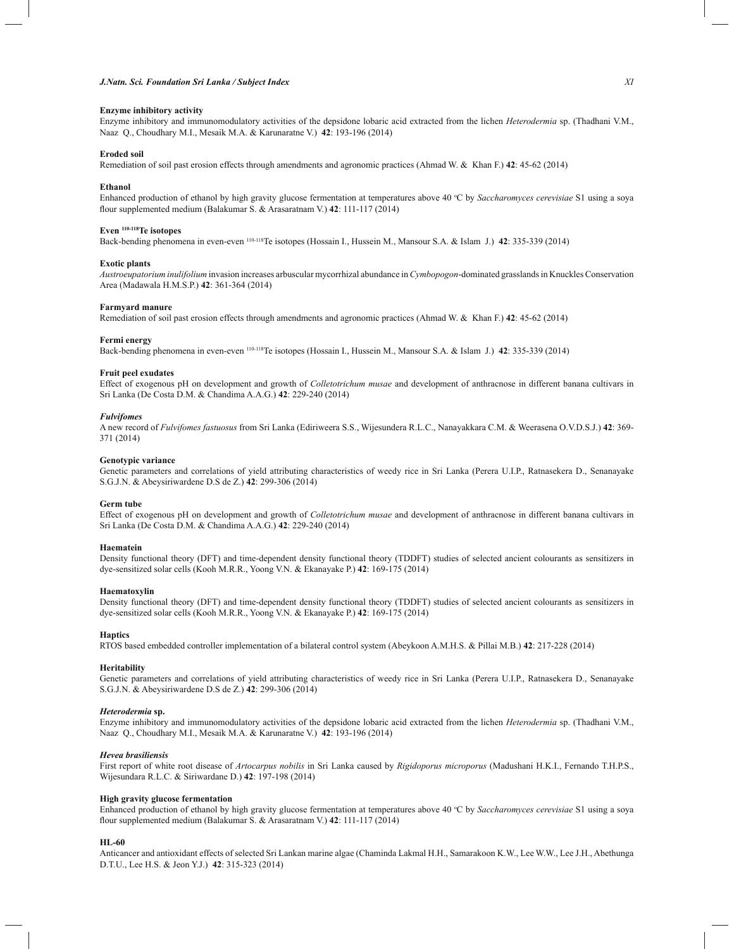## *J.Natn. Sci. Foundation Sri Lanka / Subject Index XI*

## **Enzyme inhibitory activity**

Enzyme inhibitory and immunomodulatory activities of the depsidone lobaric acid extracted from the lichen *Heterodermia* sp. (Thadhani V.M., Naaz Q., Choudhary M.I., Mesaik M.A. & Karunaratne V.) **42**: 193-196 (2014)

### **Eroded soil**

Remediation of soil past erosion effects through amendments and agronomic practices (Ahmad W. & Khan F.) **42**: 45-62 (2014)

#### **Ethanol**

Enhanced production of ethanol by high gravity glucose fermentation at temperatures above 40 °C by *Saccharomyces cerevisiae* S1 using a soya flour supplemented medium (Balakumar S. & Arasaratnam V.) **42**: 111-117 (2014)

# **Even 110-118Te isotopes**

Back-bending phenomena in even-even 110-118Te isotopes (Hossain I., Hussein M., Mansour S.A. & Islam J.) **42**: 335-339 (2014)

#### **Exotic plants**

*Austroeupatorium inulifolium* invasion increases arbuscular mycorrhizal abundance in *Cymbopogon*-dominated grasslands in Knuckles Conservation Area (Madawala H.M.S.P.) **42**: 361-364 (2014)

## **Farmyard manure**

Remediation of soil past erosion effects through amendments and agronomic practices (Ahmad W. & Khan F.) **42**: 45-62 (2014)

## **Fermi energy**

Back-bending phenomena in even-even 110-118Te isotopes (Hossain I., Hussein M., Mansour S.A. & Islam J.) **42**: 335-339 (2014)

## **Fruit peel exudates**

Effect of exogenous pH on development and growth of *Colletotrichum musae* and development of anthracnose in different banana cultivars in Sri Lanka (De Costa D.M. & Chandima A.A.G.) **42**: 229-240 (2014)

#### *Fulvifomes*

A new record of *Fulvifomes fastuosus* from Sri Lanka (Ediriweera S.S., Wijesundera R.L.C., Nanayakkara C.M. & Weerasena O.V.D.S.J.) **42**: 369- 371 (2014)

## **Genotypic variance**

Genetic parameters and correlations of yield attributing characteristics of weedy rice in Sri Lanka (Perera U.I.P., Ratnasekera D., Senanayake S.G.J.N. & Abeysiriwardene D.S de Z.) **42**: 299-306 (2014)

#### **Germ tube**

Effect of exogenous pH on development and growth of *Colletotrichum musae* and development of anthracnose in different banana cultivars in Sri Lanka (De Costa D.M. & Chandima A.A.G.) **42**: 229-240 (2014)

## **Haematein**

Density functional theory (DFT) and time-dependent density functional theory (TDDFT) studies of selected ancient colourants as sensitizers in dye-sensitized solar cells (Kooh M.R.R., Yoong V.N. & Ekanayake P.) **42**: 169-175 (2014)

## **Haematoxylin**

Density functional theory (DFT) and time-dependent density functional theory (TDDFT) studies of selected ancient colourants as sensitizers in dye-sensitized solar cells (Kooh M.R.R., Yoong V.N. & Ekanayake P.) **42**: 169-175 (2014)

# **Haptics**

RTOS based embedded controller implementation of a bilateral control system (Abeykoon A.M.H.S. & Pillai M.B.) **42**: 217-228 (2014)

# **Heritability**

Genetic parameters and correlations of yield attributing characteristics of weedy rice in Sri Lanka (Perera U.I.P., Ratnasekera D., Senanayake S.G.J.N. & Abeysiriwardene D.S de Z.) **42**: 299-306 (2014)

## *Heterodermia* **sp.**

Enzyme inhibitory and immunomodulatory activities of the depsidone lobaric acid extracted from the lichen *Heterodermia* sp. (Thadhani V.M., Naaz Q., Choudhary M.I., Mesaik M.A. & Karunaratne V.) **42**: 193-196 (2014)

## *Hevea brasiliensis*

First report of white root disease of *Artocarpus nobilis* in Sri Lanka caused by *Rigidoporus microporus* (Madushani H.K.I., Fernando T.H.P.S., Wijesundara R.L.C. & Siriwardane D.) **42**: 197-198 (2014)

#### **High gravity glucose fermentation**

Enhanced production of ethanol by high gravity glucose fermentation at temperatures above 40 °C by *Saccharomyces cerevisiae* S1 using a soya flour supplemented medium (Balakumar S. & Arasaratnam V.) **42**: 111-117 (2014)

## **HL-60**

Anticancer and antioxidant effects of selected Sri Lankan marine algae (Chaminda Lakmal H.H., Samarakoon K.W., Lee W.W., Lee J.H., Abethunga D.T.U., Lee H.S. & Jeon Y.J.) **42**: 315-323 (2014)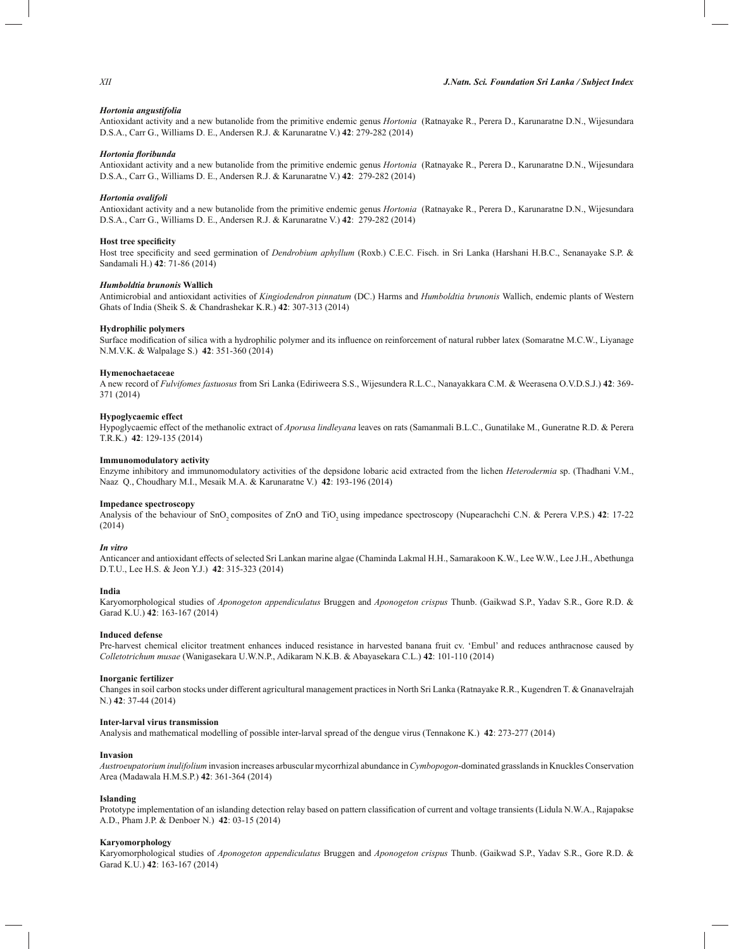## *Hortonia angustifolia*

Antioxidant activity and a new butanolide from the primitive endemic genus *Hortonia* (Ratnayake R., Perera D., Karunaratne D.N., Wijesundara D.S.A., Carr G., Williams D. E., Andersen R.J. & Karunaratne V.) **42**: 279-282 (2014)

#### *Hortonia floribunda*

Antioxidant activity and a new butanolide from the primitive endemic genus *Hortonia* (Ratnayake R., Perera D., Karunaratne D.N., Wijesundara D.S.A., Carr G., Williams D. E., Andersen R.J. & Karunaratne V.) **42**: 279-282 (2014)

## *Hortonia ovalifoli*

Antioxidant activity and a new butanolide from the primitive endemic genus *Hortonia* (Ratnayake R., Perera D., Karunaratne D.N., Wijesundara D.S.A., Carr G., Williams D. E., Andersen R.J. & Karunaratne V.) **42**: 279-282 (2014)

## **Host tree specificity**

Host tree specificity and seed germination of *Dendrobium aphyllum* (Roxb.) C.E.C. Fisch. in Sri Lanka (Harshani H.B.C., Senanayake S.P. & Sandamali H.) **42**: 71-86 (2014)

## *Humboldtia brunonis* **Wallich**

Antimicrobial and antioxidant activities of *Kingiodendron pinnatum* (DC.) Harms and *Humboldtia brunonis* Wallich, endemic plants of Western Ghats of India (Sheik S. & Chandrashekar K.R.) **42**: 307-313 (2014)

## **Hydrophilic polymers**

Surface modification of silica with a hydrophilic polymer and its influence on reinforcement of natural rubber latex (Somaratne M.C.W., Liyanage N.M.V.K. & Walpalage S.) **42**: 351-360 (2014)

## **Hymenochaetaceae**

A new record of *Fulvifomes fastuosus* from Sri Lanka (Ediriweera S.S., Wijesundera R.L.C., Nanayakkara C.M. & Weerasena O.V.D.S.J.) **42**: 369- 371 (2014)

## **Hypoglycaemic effect**

Hypoglycaemic effect of the methanolic extract of *Aporusa lindleyana* leaves on rats (Samanmali B.L.C., Gunatilake M., Guneratne R.D. & Perera T.R.K.) **42**: 129-135 (2014)

# **Immunomodulatory activity**

Enzyme inhibitory and immunomodulatory activities of the depsidone lobaric acid extracted from the lichen *Heterodermia* sp. (Thadhani V.M., Naaz Q., Choudhary M.I., Mesaik M.A. & Karunaratne V.) **42**: 193-196 (2014)

#### **Impedance spectroscopy**

Analysis of the behaviour of SnO<sub>2</sub> composites of ZnO and TiO<sub>2</sub> using impedance spectroscopy (Nupearachchi C.N. & Perera V.P.S.) **42**: 17-22 (2014)

# *In vitro*

Anticancer and antioxidant effects of selected Sri Lankan marine algae (Chaminda Lakmal H.H., Samarakoon K.W., Lee W.W., Lee J.H., Abethunga D.T.U., Lee H.S. & Jeon Y.J.) **42**: 315-323 (2014)

## **India**

Karyomorphological studies of *Aponogeton appendiculatus* Bruggen and *Aponogeton crispus* Thunb. (Gaikwad S.P., Yadav S.R., Gore R.D. & Garad K.U.) **42**: 163-167 (2014)

## **Induced defense**

Pre-harvest chemical elicitor treatment enhances induced resistance in harvested banana fruit cv. 'Embul' and reduces anthracnose caused by *Colletotrichum musae* (Wanigasekara U.W.N.P., Adikaram N.K.B. & Abayasekara C.L.) **42**: 101-110 (2014)

## **Inorganic fertilizer**

Changes in soil carbon stocks under different agricultural management practices in North Sri Lanka (Ratnayake R.R., Kugendren T. & Gnanavelrajah N.) **42**: 37-44 (2014)

## **Inter-larval virus transmission**

Analysis and mathematical modelling of possible inter-larval spread of the dengue virus (Tennakone K.) **42**: 273-277 (2014)

## **Invasion**

*Austroeupatorium inulifolium* invasion increases arbuscular mycorrhizal abundance in *Cymbopogon*-dominated grasslands in Knuckles Conservation Area (Madawala H.M.S.P.) **42**: 361-364 (2014)

## **Islanding**

Prototype implementation of an islanding detection relay based on pattern classification of current and voltage transients (Lidula N.W.A., Rajapakse A.D., Pham J.P. & Denboer N.) **42**: 03-15 (2014)

#### **Karyomorphology**

Karyomorphological studies of *Aponogeton appendiculatus* Bruggen and *Aponogeton crispus* Thunb. (Gaikwad S.P., Yadav S.R., Gore R.D. & Garad K.U.) **42**: 163-167 (2014)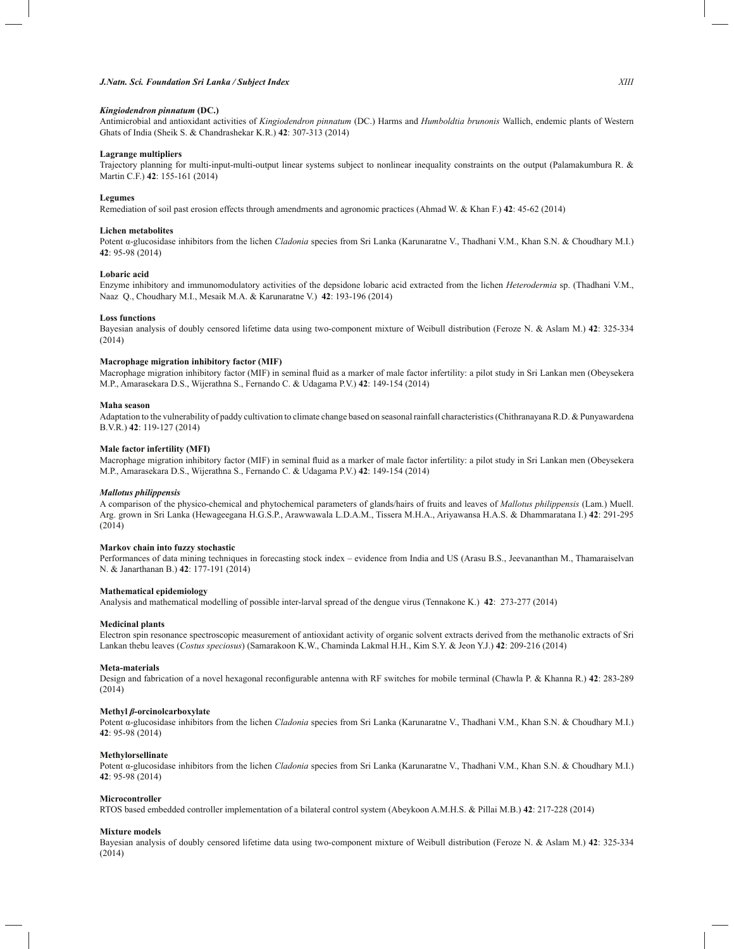# *J.Natn. Sci. Foundation Sri Lanka / Subject Index XIII*

# *Kingiodendron pinnatum* **(DC.)**

Antimicrobial and antioxidant activities of *Kingiodendron pinnatum* (DC.) Harms and *Humboldtia brunonis* Wallich, endemic plants of Western Ghats of India (Sheik S. & Chandrashekar K.R.) **42**: 307-313 (2014)

#### **Lagrange multipliers**

Trajectory planning for multi-input-multi-output linear systems subject to nonlinear inequality constraints on the output (Palamakumbura R. & Martin C.F.) **42**: 155-161 (2014)

#### **Legumes**

Remediation of soil past erosion effects through amendments and agronomic practices (Ahmad W. & Khan F.) **42**: 45-62 (2014)

# **Lichen metabolites**

Potent α-glucosidase inhibitors from the lichen *Cladonia* species from Sri Lanka (Karunaratne V., Thadhani V.M., Khan S.N. & Choudhary M.I.) **42**: 95-98 (2014)

## **Lobaric acid**

Enzyme inhibitory and immunomodulatory activities of the depsidone lobaric acid extracted from the lichen *Heterodermia* sp. (Thadhani V.M., Naaz Q., Choudhary M.I., Mesaik M.A. & Karunaratne V.) **42**: 193-196 (2014)

## **Loss functions**

Bayesian analysis of doubly censored lifetime data using two-component mixture of Weibull distribution (Feroze N. & Aslam M.) **42**: 325-334 (2014)

## **Macrophage migration inhibitory factor (MIF)**

Macrophage migration inhibitory factor (MIF) in seminal fluid as a marker of male factor infertility: a pilot study in Sri Lankan men (Obeysekera M.P., Amarasekara D.S., Wijerathna S., Fernando C. & Udagama P.V.) **42**: 149-154 (2014)

#### **Maha season**

Adaptation to the vulnerability of paddy cultivation to climate change based on seasonal rainfall characteristics (Chithranayana R.D. & Punyawardena B.V.R.) **42**: 119-127 (2014)

## **Male factor infertility (MFI)**

Macrophage migration inhibitory factor (MIF) in seminal fluid as a marker of male factor infertility: a pilot study in Sri Lankan men (Obeysekera M.P., Amarasekara D.S., Wijerathna S., Fernando C. & Udagama P.V.) **42**: 149-154 (2014)

## *Mallotus philippensis*

A comparison of the physico-chemical and phytochemical parameters of glands/hairs of fruits and leaves of *Mallotus philippensis* (Lam.) Muell. Arg. grown in Sri Lanka (Hewageegana H.G.S.P., Arawwawala L.D.A.M., Tissera M.H.A., Ariyawansa H.A.S. & Dhammaratana I.) **42**: 291-295 (2014)

# **Markov chain into fuzzy stochastic**

Performances of data mining techniques in forecasting stock index – evidence from India and US (Arasu B.S., Jeevananthan M., Thamaraiselvan N. & Janarthanan B.) **42**: 177-191 (2014)

## **Mathematical epidemiology**

Analysis and mathematical modelling of possible inter-larval spread of the dengue virus (Tennakone K.) **42**: 273-277 (2014)

## **Medicinal plants**

Electron spin resonance spectroscopic measurement of antioxidant activity of organic solvent extracts derived from the methanolic extracts of Sri Lankan thebu leaves (*Costus speciosus*) (Samarakoon K.W., Chaminda Lakmal H.H., Kim S.Y. & Jeon Y.J.) **42**: 209-216 (2014)

#### **Meta-materials**

Design and fabrication of a novel hexagonal reconfigurable antenna with RF switches for mobile terminal (Chawla P. & Khanna R.) **42**: 283-289 (2014)

## **Methyl** *β***-orcinolcarboxylate**

Potent α-glucosidase inhibitors from the lichen *Cladonia* species from Sri Lanka (Karunaratne V., Thadhani V.M., Khan S.N. & Choudhary M.I.) **42**: 95-98 (2014)

#### **Methylorsellinate**

Potent α-glucosidase inhibitors from the lichen *Cladonia* species from Sri Lanka (Karunaratne V., Thadhani V.M., Khan S.N. & Choudhary M.I.) **42**: 95-98 (2014)

#### **Microcontroller**

RTOS based embedded controller implementation of a bilateral control system (Abeykoon A.M.H.S. & Pillai M.B.) **42**: 217-228 (2014)

## **Mixture models**

Bayesian analysis of doubly censored lifetime data using two-component mixture of Weibull distribution (Feroze N. & Aslam M.) **42**: 325-334 (2014)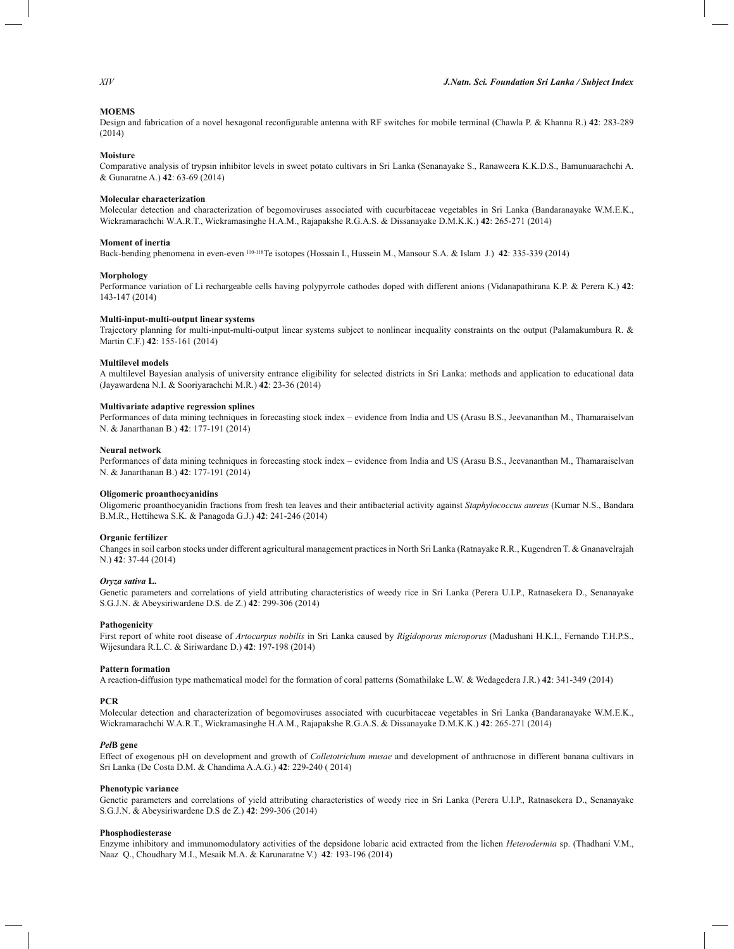## **MOEMS**

Design and fabrication of a novel hexagonal reconfigurable antenna with RF switches for mobile terminal (Chawla P. & Khanna R.) **42**: 283-289 (2014)

## **Moisture**

Comparative analysis of trypsin inhibitor levels in sweet potato cultivars in Sri Lanka (Senanayake S., Ranaweera K.K.D.S., Bamunuarachchi A. & Gunaratne A.) **42**: 63-69 (2014)

## **Molecular characterization**

Molecular detection and characterization of begomoviruses associated with cucurbitaceae vegetables in Sri Lanka (Bandaranayake W.M.E.K., Wickramarachchi W.A.R.T., Wickramasinghe H.A.M., Rajapakshe R.G.A.S. & Dissanayake D.M.K.K.) **42**: 265-271 (2014)

## **Moment of inertia**

Back-bending phenomena in even-even 110-118Te isotopes (Hossain I., Hussein M., Mansour S.A. & Islam J.) **42**: 335-339 (2014)

## **Morphology**

Performance variation of Li rechargeable cells having polypyrrole cathodes doped with different anions (Vidanapathirana K.P. & Perera K.) **42**: 143-147 (2014)

## **Multi-input-multi-output linear systems**

Trajectory planning for multi-input-multi-output linear systems subject to nonlinear inequality constraints on the output (Palamakumbura R. & Martin C.F.) **42**: 155-161 (2014)

## **Multilevel models**

A multilevel Bayesian analysis of university entrance eligibility for selected districts in Sri Lanka: methods and application to educational data (Jayawardena N.I. & Sooriyarachchi M.R.) **42**: 23-36 (2014)

## **Multivariate adaptive regression splines**

Performances of data mining techniques in forecasting stock index – evidence from India and US (Arasu B.S., Jeevananthan M., Thamaraiselvan N. & Janarthanan B.) **42**: 177-191 (2014)

#### **Neural network**

Performances of data mining techniques in forecasting stock index – evidence from India and US (Arasu B.S., Jeevananthan M., Thamaraiselvan N. & Janarthanan B.) **42**: 177-191 (2014)

# **Oligomeric proanthocyanidins**

Oligomeric proanthocyanidin fractions from fresh tea leaves and their antibacterial activity against *Staphylococcus aureus* (Kumar N.S., Bandara B.M.R., Hettihewa S.K. & Panagoda G.J.) **42**: 241-246 (2014)

## **Organic fertilizer**

Changes in soil carbon stocks under different agricultural management practices in North Sri Lanka (Ratnayake R.R., Kugendren T. & Gnanavelrajah N.) **42**: 37-44 (2014)

## *Oryza sativa* **L.**

Genetic parameters and correlations of yield attributing characteristics of weedy rice in Sri Lanka (Perera U.I.P., Ratnasekera D., Senanayake S.G.J.N. & Abeysiriwardene D.S. de Z.) **42**: 299-306 (2014)

## **Pathogenicity**

First report of white root disease of *Artocarpus nobilis* in Sri Lanka caused by *Rigidoporus microporus* (Madushani H.K.I., Fernando T.H.P.S., Wijesundara R.L.C. & Siriwardane D.) **42**: 197-198 (2014)

#### **Pattern formation**

A reaction-diffusion type mathematical model for the formation of coral patterns (Somathilake L.W. & Wedagedera J.R.) **42**: 341-349 (2014)

### **PCR**

Molecular detection and characterization of begomoviruses associated with cucurbitaceae vegetables in Sri Lanka (Bandaranayake W.M.E.K., Wickramarachchi W.A.R.T., Wickramasinghe H.A.M., Rajapakshe R.G.A.S. & Dissanayake D.M.K.K.) **42**: 265-271 (2014)

## *Pel***B gene**

Effect of exogenous pH on development and growth of *Colletotrichum musae* and development of anthracnose in different banana cultivars in Sri Lanka (De Costa D.M. & Chandima A.A.G.) **42**: 229-240 ( 2014)

## **Phenotypic variance**

Genetic parameters and correlations of yield attributing characteristics of weedy rice in Sri Lanka (Perera U.I.P., Ratnasekera D., Senanayake S.G.J.N. & Abeysiriwardene D.S de Z.) **42**: 299-306 (2014)

#### **Phosphodiesterase**

Enzyme inhibitory and immunomodulatory activities of the depsidone lobaric acid extracted from the lichen *Heterodermia* sp. (Thadhani V.M., Naaz Q., Choudhary M.I., Mesaik M.A. & Karunaratne V.) **42**: 193-196 (2014)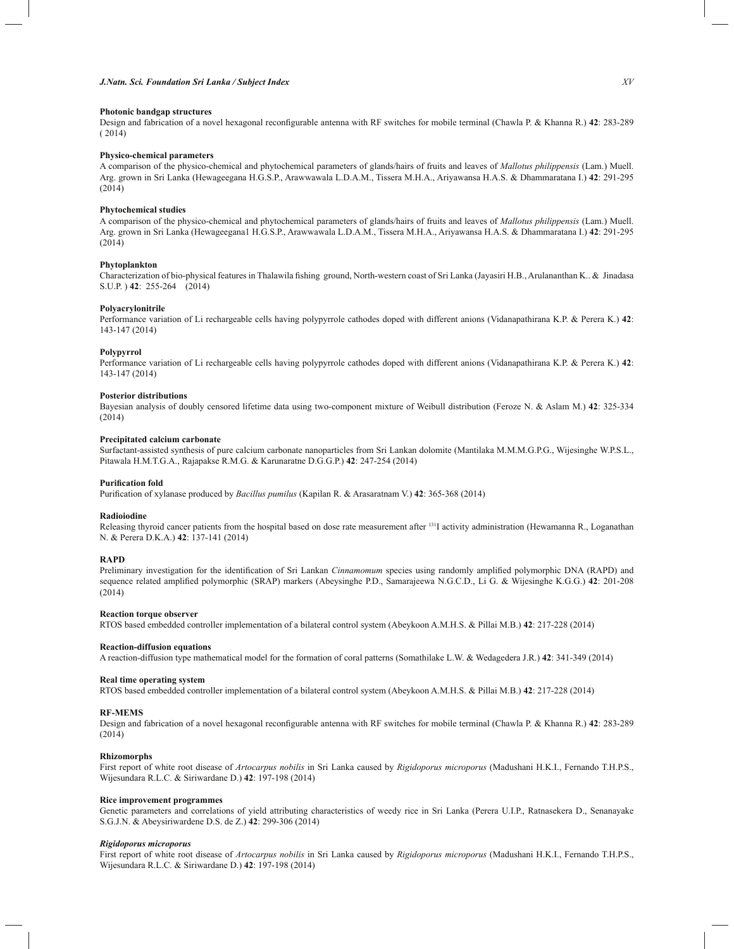## **Photonic bandgap structures**

Design and fabrication of a novel hexagonal reconfigurable antenna with RF switches for mobile terminal (Chawla P. & Khanna R.) **42**: 283-289 ( 2014)

## **Physico-chemical parameters**

A comparison of the physico-chemical and phytochemical parameters of glands/hairs of fruits and leaves of *Mallotus philippensis* (Lam.) Muell. Arg. grown in Sri Lanka (Hewageegana H.G.S.P., Arawwawala L.D.A.M., Tissera M.H.A., Ariyawansa H.A.S. & Dhammaratana I.) **42**: 291-295 (2014)

## **Phytochemical studies**

A comparison of the physico-chemical and phytochemical parameters of glands/hairs of fruits and leaves of *Mallotus philippensis* (Lam.) Muell. Arg. grown in Sri Lanka (Hewageegana1 H.G.S.P., Arawwawala L.D.A.M., Tissera M.H.A., Ariyawansa H.A.S. & Dhammaratana I.) **42**: 291-295 (2014)

# **Phytoplankton**

Characterization of bio-physical features in Thalawila fishing ground, North-western coast of Sri Lanka (Jayasiri H.B., Arulananthan K.. & Jinadasa S.U.P. ) **42**: 255-264 (2014)

## **Polyacrylonitrile**

Performance variation of Li rechargeable cells having polypyrrole cathodes doped with different anions (Vidanapathirana K.P. & Perera K.) **42**: 143-147 (2014)

#### **Polypyrrol**

Performance variation of Li rechargeable cells having polypyrrole cathodes doped with different anions (Vidanapathirana K.P. & Perera K.) **42**: 143-147 (2014)

## **Posterior distributions**

Bayesian analysis of doubly censored lifetime data using two-component mixture of Weibull distribution (Feroze N. & Aslam M.) **42**: 325-334 (2014)

# **Precipitated calcium carbonate**

Surfactant-assisted synthesis of pure calcium carbonate nanoparticles from Sri Lankan dolomite (Mantilaka M.M.M.G.P.G., Wijesinghe W.P.S.L., Pitawala H.M.T.G.A., Rajapakse R.M.G. & Karunaratne D.G.G.P.) **42**: 247-254 (2014)

## **Purification fold**

Purification of xylanase produced by *Bacillus pumilus* (Kapilan R. & Arasaratnam V.) **42**: 365-368 (2014)

#### **Radioiodine**

Releasing thyroid cancer patients from the hospital based on dose rate measurement after 131I activity administration (Hewamanna R., Loganathan N. & Perera D.K.A.) **42**: 137-141 (2014)

## **RAPD**

Preliminary investigation for the identification of Sri Lankan *Cinnamomum* species using randomly amplified polymorphic DNA (RAPD) and sequence related amplified polymorphic (SRAP) markers (Abeysinghe P.D., Samarajeewa N.G.C.D., Li G. & Wijesinghe K.G.G.) **42**: 201-208 (2014)

### **Reaction torque observer**

RTOS based embedded controller implementation of a bilateral control system (Abeykoon A.M.H.S. & Pillai M.B.) **42**: 217-228 (2014)

## **Reaction-diffusion equations**

A reaction-diffusion type mathematical model for the formation of coral patterns (Somathilake L.W. & Wedagedera J.R.) **42**: 341-349 (2014)

#### **Real time operating system**

RTOS based embedded controller implementation of a bilateral control system (Abeykoon A.M.H.S. & Pillai M.B.) **42**: 217-228 (2014)

## **RF-MEMS**

Design and fabrication of a novel hexagonal reconfigurable antenna with RF switches for mobile terminal (Chawla P. & Khanna R.) **42**: 283-289 (2014)

## **Rhizomorphs**

First report of white root disease of *Artocarpus nobilis* in Sri Lanka caused by *Rigidoporus microporus* (Madushani H.K.I., Fernando T.H.P.S., Wijesundara R.L.C. & Siriwardane D.) **42**: 197-198 (2014)

## **Rice improvement programmes**

Genetic parameters and correlations of yield attributing characteristics of weedy rice in Sri Lanka (Perera U.I.P., Ratnasekera D., Senanayake S.G.J.N. & Abeysiriwardene D.S. de Z.) **42**: 299-306 (2014)

## *Rigidoporus microporus*

First report of white root disease of *Artocarpus nobilis* in Sri Lanka caused by *Rigidoporus microporus* (Madushani H.K.I., Fernando T.H.P.S., Wijesundara R.L.C. & Siriwardane D.) **42**: 197-198 (2014)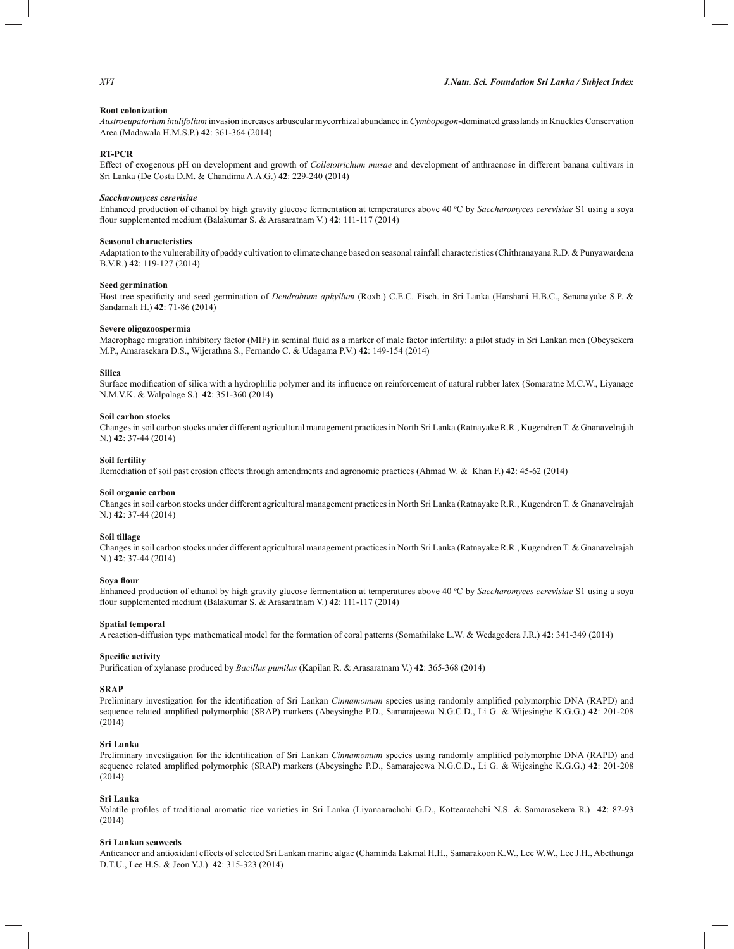# **Root colonization**

*Austroeupatorium inulifolium* invasion increases arbuscular mycorrhizal abundance in *Cymbopogon*-dominated grasslands in Knuckles Conservation Area (Madawala H.M.S.P.) **42**: 361-364 (2014)

## **RT-PCR**

Effect of exogenous pH on development and growth of *Colletotrichum musae* and development of anthracnose in different banana cultivars in Sri Lanka (De Costa D.M. & Chandima A.A.G.) **42**: 229-240 (2014)

## *Saccharomyces cerevisiae*

Enhanced production of ethanol by high gravity glucose fermentation at temperatures above 40 °C by *Saccharomyces cerevisiae* S1 using a soya flour supplemented medium (Balakumar S. & Arasaratnam V.) **42**: 111-117 (2014)

## **Seasonal characteristics**

Adaptation to the vulnerability of paddy cultivation to climate change based on seasonal rainfall characteristics (Chithranayana R.D. & Punyawardena B.V.R.) **42**: 119-127 (2014)

#### **Seed germination**

Host tree specificity and seed germination of *Dendrobium aphyllum* (Roxb.) C.E.C. Fisch. in Sri Lanka (Harshani H.B.C., Senanayake S.P. & Sandamali H.) **42**: 71-86 (2014)

## **Severe oligozoospermia**

Macrophage migration inhibitory factor (MIF) in seminal fluid as a marker of male factor infertility: a pilot study in Sri Lankan men (Obeysekera M.P., Amarasekara D.S., Wijerathna S., Fernando C. & Udagama P.V.) **42**: 149-154 (2014)

## **Silica**

Surface modification of silica with a hydrophilic polymer and its influence on reinforcement of natural rubber latex (Somaratne M.C.W., Liyanage N.M.V.K. & Walpalage S.) **42**: 351-360 (2014)

## **Soil carbon stocks**

Changes in soil carbon stocks under different agricultural management practices in North Sri Lanka (Ratnayake R.R., Kugendren T. & Gnanavelrajah N.) **42**: 37-44 (2014)

## **Soil fertility**

Remediation of soil past erosion effects through amendments and agronomic practices (Ahmad W. & Khan F.) **42**: 45-62 (2014)

## **Soil organic carbon**

Changes in soil carbon stocks under different agricultural management practices in North Sri Lanka (Ratnayake R.R., Kugendren T. & Gnanavelrajah N.) **42**: 37-44 (2014)

## **Soil tillage**

Changes in soil carbon stocks under different agricultural management practices in North Sri Lanka (Ratnayake R.R., Kugendren T. & Gnanavelrajah N.) **42**: 37-44 (2014)

### **Soya flour**

Enhanced production of ethanol by high gravity glucose fermentation at temperatures above 40 °C by *Saccharomyces cerevisiae* S1 using a soya flour supplemented medium (Balakumar S. & Arasaratnam V.) **42**: 111-117 (2014)

## **Spatial temporal**

A reaction-diffusion type mathematical model for the formation of coral patterns (Somathilake L.W. & Wedagedera J.R.) **42**: 341-349 (2014)

## **Specific activity**

Purification of xylanase produced by *Bacillus pumilus* (Kapilan R. & Arasaratnam V.) **42**: 365-368 (2014)

# **SRAP**

Preliminary investigation for the identification of Sri Lankan *Cinnamomum* species using randomly amplified polymorphic DNA (RAPD) and sequence related amplified polymorphic (SRAP) markers (Abeysinghe P.D., Samarajeewa N.G.C.D., Li G. & Wijesinghe K.G.G.) **42**: 201-208 (2014)

# **Sri Lanka**

Preliminary investigation for the identification of Sri Lankan *Cinnamomum* species using randomly amplified polymorphic DNA (RAPD) and sequence related amplified polymorphic (SRAP) markers (Abeysinghe P.D., Samarajeewa N.G.C.D., Li G. & Wijesinghe K.G.G.) **42**: 201-208 (2014)

# **Sri Lanka**

Volatile profiles of traditional aromatic rice varieties in Sri Lanka (Liyanaarachchi G.D., Kottearachchi N.S. & Samarasekera R.) **42**: 87-93 (2014)

## **Sri Lankan seaweeds**

Anticancer and antioxidant effects of selected Sri Lankan marine algae (Chaminda Lakmal H.H., Samarakoon K.W., Lee W.W., Lee J.H., Abethunga D.T.U., Lee H.S. & Jeon Y.J.) **42**: 315-323 (2014)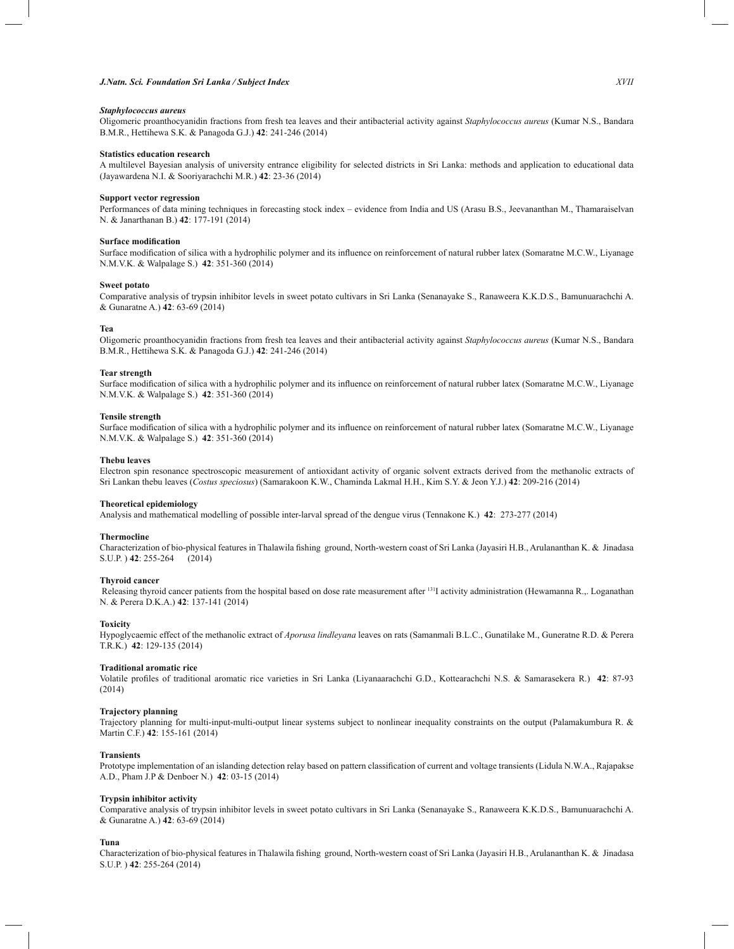# *J.Natn. Sci. Foundation Sri Lanka / Subject Index XVII*

## *Staphylococcus aureus*

Oligomeric proanthocyanidin fractions from fresh tea leaves and their antibacterial activity against *Staphylococcus aureus* (Kumar N.S., Bandara B.M.R., Hettihewa S.K. & Panagoda G.J.) **42**: 241-246 (2014)

#### **Statistics education research**

A multilevel Bayesian analysis of university entrance eligibility for selected districts in Sri Lanka: methods and application to educational data (Jayawardena N.I. & Sooriyarachchi M.R.) **42**: 23-36 (2014)

## **Support vector regression**

Performances of data mining techniques in forecasting stock index – evidence from India and US (Arasu B.S., Jeevananthan M., Thamaraiselvan N. & Janarthanan B.) **42**: 177-191 (2014)

## **Surface modification**

Surface modification of silica with a hydrophilic polymer and its influence on reinforcement of natural rubber latex (Somaratne M.C.W., Liyanage N.M.V.K. & Walpalage S.) **42**: 351-360 (2014)

## **Sweet potato**

Comparative analysis of trypsin inhibitor levels in sweet potato cultivars in Sri Lanka (Senanayake S., Ranaweera K.K.D.S., Bamunuarachchi A. & Gunaratne A.) **42**: 63-69 (2014)

### **Tea**

Oligomeric proanthocyanidin fractions from fresh tea leaves and their antibacterial activity against *Staphylococcus aureus* (Kumar N.S., Bandara B.M.R., Hettihewa S.K. & Panagoda G.J.) **42**: 241-246 (2014)

## **Tear strength**

Surface modification of silica with a hydrophilic polymer and its influence on reinforcement of natural rubber latex (Somaratne M.C.W., Liyanage N.M.V.K. & Walpalage S.) **42**: 351-360 (2014)

## **Tensile strength**

Surface modification of silica with a hydrophilic polymer and its influence on reinforcement of natural rubber latex (Somaratne M.C.W., Liyanage N.M.V.K. & Walpalage S.) **42**: 351-360 (2014)

## **Thebu leaves**

Electron spin resonance spectroscopic measurement of antioxidant activity of organic solvent extracts derived from the methanolic extracts of Sri Lankan thebu leaves (*Costus speciosus*) (Samarakoon K.W., Chaminda Lakmal H.H., Kim S.Y. & Jeon Y.J.) **42**: 209-216 (2014)

#### **Theoretical epidemiology**

Analysis and mathematical modelling of possible inter-larval spread of the dengue virus (Tennakone K.) **42**: 273-277 (2014)

#### **Thermocline**

Characterization of bio-physical features in Thalawila fishing ground, North-western coast of Sri Lanka (Jayasiri H.B., Arulananthan K. & Jinadasa S.U.P. ) **42**: 255-264 (2014)

#### **Thyroid cancer**

Releasing thyroid cancer patients from the hospital based on dose rate measurement after <sup>131</sup>I activity administration (Hewamanna R.,. Loganathan N. & Perera D.K.A.) **42**: 137-141 (2014)

## **Toxicity**

Hypoglycaemic effect of the methanolic extract of *Aporusa lindleyana* leaves on rats (Samanmali B.L.C., Gunatilake M., Guneratne R.D. & Perera T.R.K.) **42**: 129-135 (2014)

## **Traditional aromatic rice**

Volatile profiles of traditional aromatic rice varieties in Sri Lanka (Liyanaarachchi G.D., Kottearachchi N.S. & Samarasekera R.) **42**: 87-93 (2014)

## **Trajectory planning**

Trajectory planning for multi-input-multi-output linear systems subject to nonlinear inequality constraints on the output (Palamakumbura R. & Martin C.F.) **42**: 155-161 (2014)

## **Transients**

Prototype implementation of an islanding detection relay based on pattern classification of current and voltage transients (Lidula N.W.A., Rajapakse A.D., Pham J.P & Denboer N.) **42**: 03-15 (2014)

#### **Trypsin inhibitor activity**

Comparative analysis of trypsin inhibitor levels in sweet potato cultivars in Sri Lanka (Senanayake S., Ranaweera K.K.D.S., Bamunuarachchi A. & Gunaratne A.) **42**: 63-69 (2014)

## **Tuna**

Characterization of bio-physical features in Thalawila fishing ground, North-western coast of Sri Lanka (Jayasiri H.B., Arulananthan K. & Jinadasa S.U.P. ) **42**: 255-264 (2014)